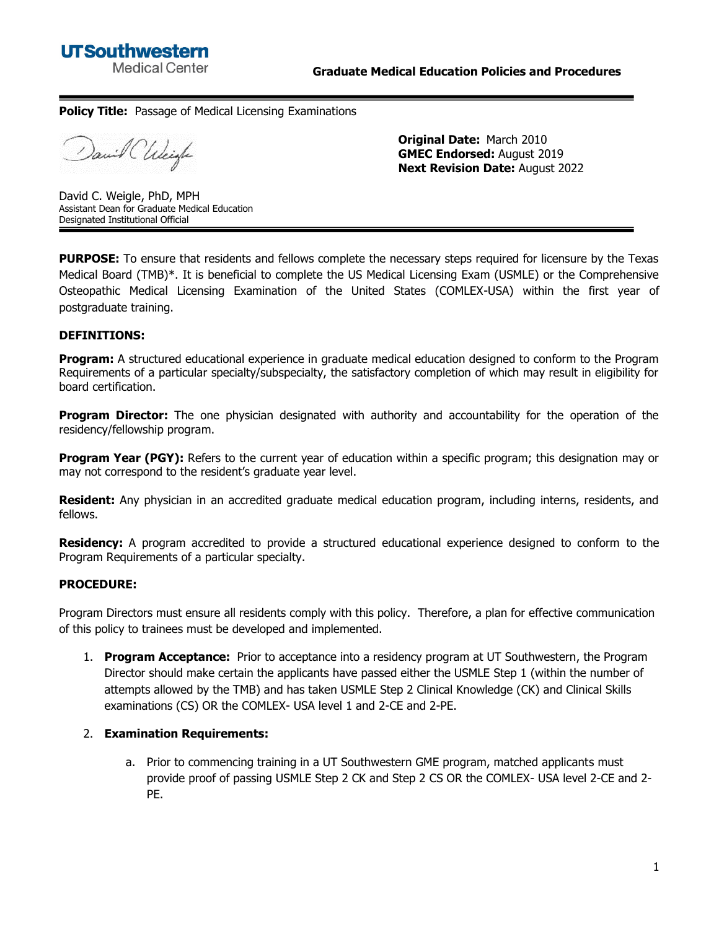

## **Policy Title:** Passage of Medical Licensing Examinations

David CUlcigle

**Original Date:** March 2010 **GMEC Endorsed:** August 2019 **Next Revision Date:** August 2022

David C. Weigle, PhD, MPH Assistant Dean for Graduate Medical Education Designated Institutional Official

**PURPOSE:** To ensure that residents and fellows complete the necessary steps required for licensure by the Texas Medical Board (TMB)\*. It is beneficial to complete the US Medical Licensing Exam (USMLE) or the Comprehensive Osteopathic Medical Licensing Examination of the United States (COMLEX-USA) within the first year of postgraduate training.

## **DEFINITIONS:**

**Program:** A structured educational experience in graduate medical education designed to conform to the Program Requirements of a particular specialty/subspecialty, the satisfactory completion of which may result in eligibility for board certification.

**Program Director:** The one physician designated with authority and accountability for the operation of the residency/fellowship program.

**Program Year (PGY):** Refers to the current year of education within a specific program; this designation may or may not correspond to the resident's graduate year level.

**Resident:** Any physician in an accredited graduate medical education program, including interns, residents, and fellows.

**Residency:** A program accredited to provide a structured educational experience designed to conform to the Program Requirements of a particular specialty.

## **PROCEDURE:**

Program Directors must ensure all residents comply with this policy. Therefore, a plan for effective communication of this policy to trainees must be developed and implemented.

1. **Program Acceptance:** Prior to acceptance into a residency program at UT Southwestern, the Program Director should make certain the applicants have passed either the USMLE Step 1 (within the number of attempts allowed by the TMB) and has taken USMLE Step 2 Clinical Knowledge (CK) and Clinical Skills examinations (CS) OR the COMLEX- USA level 1 and 2-CE and 2-PE.

## 2. **Examination Requirements:**

a. Prior to commencing training in a UT Southwestern GME program, matched applicants must provide proof of passing USMLE Step 2 CK and Step 2 CS OR the COMLEX- USA level 2-CE and 2- PE.